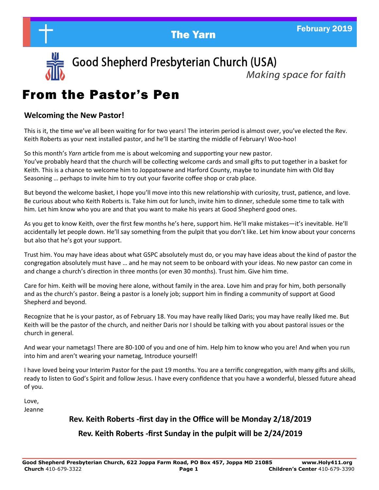



Good Shepherd Presbyterian Church (USA)

Making space for faith

# From the Pastor's Pen

## **Welcoming the New Pastor!**

This is it, the time we've all been waiting for for two years! The interim period is almost over, you've elected the Rev. Keith Roberts as your next installed pastor, and he'll be starting the middle of February! Woo-hoo!

So this month's *Yarn* article from me is about welcoming and supporting your new pastor. You've probably heard that the church will be collecting welcome cards and small gifts to put together in a basket for Keith. This is a chance to welcome him to Joppatowne and Harford County, maybe to inundate him with Old Bay Seasoning … perhaps to invite him to try out your favorite coffee shop or crab place.

But beyond the welcome basket, I hope you'll move into this new relationship with curiosity, trust, patience, and love. Be curious about who Keith Roberts is. Take him out for lunch, invite him to dinner, schedule some time to talk with him. Let him know who you are and that you want to make his years at Good Shepherd good ones.

As you get to know Keith, over the first few months he's here, support him. He'll make mistakes—it's inevitable. He'll accidentally let people down. He'll say something from the pulpit that you don't like. Let him know about your concerns but also that he's got your support.

Trust him. You may have ideas about what GSPC absolutely must do, or you may have ideas about the kind of pastor the congregation absolutely must have … and he may not seem to be onboard with your ideas. No new pastor can come in and change a church's direction in three months (or even 30 months). Trust him. Give him time.

Care for him. Keith will be moving here alone, without family in the area. Love him and pray for him, both personally and as the church's pastor. Being a pastor is a lonely job; support him in finding a community of support at Good Shepherd and beyond.

Recognize that he is your pastor, as of February 18. You may have really liked Daris; you may have really liked me. But Keith will be the pastor of the church, and neither Daris nor I should be talking with you about pastoral issues or the church in general.

And wear your nametags! There are 80-100 of you and one of him. Help him to know who you are! And when you run into him and aren't wearing your nametag, Introduce yourself!

I have loved being your Interim Pastor for the past 19 months. You are a terrific congregation, with many gifts and skills, ready to listen to God's Spirit and follow Jesus. I have every confidence that you have a wonderful, blessed future ahead of you.

Love, Jeanne

## **Rev. Keith Roberts -first day in the Office will be Monday 2/18/2019**

## **Rev. Keith Roberts -first Sunday in the pulpit will be 2/24/2019**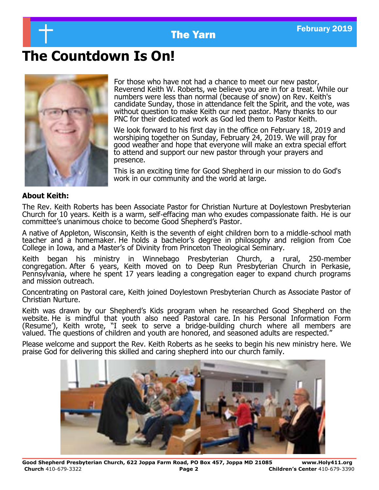

# **The Countdown Is On!**



For those who have not had a chance to meet our new pastor, Reverend Keith W. Roberts, we believe you are in for a treat. While our numbers were less than normal (because of snow) on Rev. Keith's candidate Sunday, those in attendance felt the Spirit, and the vote, was without question to make Keith our next pastor. Many thanks to our PNC for their dedicated work as God led them to Pastor Keith.

We look forward to his first day in the office on February 18, 2019 and worshiping together on Sunday, February 24, 2019. We will pray for good weather and hope that everyone will make an extra special effort to attend and support our new pastor through your prayers and presence.

This is an exciting time for Good Shepherd in our mission to do God's work in our community and the world at large.

### **About Keith:**

The Rev. Keith Roberts has been Associate Pastor for Christian Nurture at Doylestown Presbyterian Church for 10 years. Keith is a warm, self-effacing man who exudes compassionate faith. He is our committee's unanimous choice to become Good Shepherd's Pastor.

A native of Appleton, Wisconsin, Keith is the seventh of eight children born to a middle-school math teacher and a homemaker. He holds a bachelor's degree in philosophy and religion from Coe College in Iowa, and a Master's of Divinity from Princeton Theological Seminary.

Keith began his ministry in Winnebago Presbyterian Church, a rural, 250-member congregation. After 6 years, Keith moved on to Deep Run Presbyterian Church in Perkasie, Pennsylvania, where he spent 17 years leading a congregation eager to expand church programs and mission outreach.

Concentrating on Pastoral care, Keith joined Doylestown Presbyterian Church as Associate Pastor of Christian Nurture.

Keith was drawn by our Shepherd's Kids program when he researched Good Shepherd on the website. He is mindful that youth also need Pastoral care. In his Personal Information Form (Resume'), Keith wrote, "I seek to serve a bridge-building church where all members are valued. The questions of children and youth are honored, and seasoned adults are respected."

Please welcome and support the Rev. Keith Roberts as he seeks to begin his new ministry here. We praise God for delivering this skilled and caring shepherd into our church family.

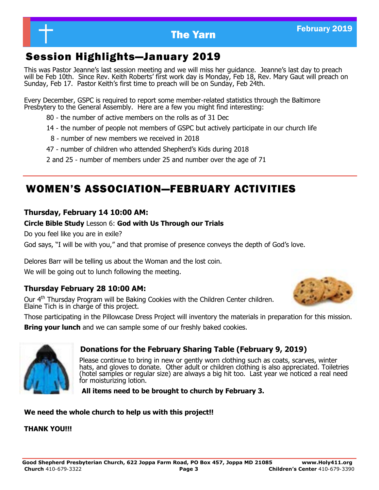## Session Highlights—January 2019

This was Pastor Jeanne's last session meeting and we will miss her guidance. Jeanne's last day to preach will be Feb 10th. Since Rev. Keith Roberts' first work day is Monday, Feb 18, Rev. Mary Gaut will preach on Sunday, Feb 17. Pastor Keith's first time to preach will be on Sunday, Feb 24th.

Every December, GSPC is required to report some member-related statistics through the Baltimore Presbytery to the General Assembly. Here are a few you might find interesting:

- 80 the number of active members on the rolls as of 31 Dec
- 14 the number of people not members of GSPC but actively participate in our church life
- 8 number of new members we received in 2018
- 47 number of children who attended Shepherd's Kids during 2018
- 2 and 25 number of members under 25 and number over the age of 71

## WOMEN'S ASSOCIATION—FEBRUARY ACTIVITIES

## **Thursday, February 14 10:00 AM:**

## **Circle Bible Study** Lesson 6: **God with Us Through our Trials**

Do you feel like you are in exile?

God says, "I will be with you," and that promise of presence conveys the depth of God's love.

Delores Barr will be telling us about the Woman and the lost coin.

We will be going out to lunch following the meeting.

## **Thursday February 28 10:00 AM:**

Our 4<sup>th</sup> Thursday Program will be Baking Cookies with the Children Center children. Elaine Tich is in charge of this project.



Those participating in the Pillowcase Dress Project will inventory the materials in preparation for this mission.

**Bring your lunch** and we can sample some of our freshly baked cookies.



## **Donations for the February Sharing Table (February 9, 2019)**

Please continue to bring in new or gently worn clothing such as coats, scarves, winter hats, and gloves to donate. Other adult or children clothing is also appreciated. Toiletries (hotel samples or regular size) are always a big hit too. Last year we noticed a real need for moisturizing lotion.

 **All items need to be brought to church by February 3.** 

## **We need the whole church to help us with this project!!**

## **THANK YOU!!!**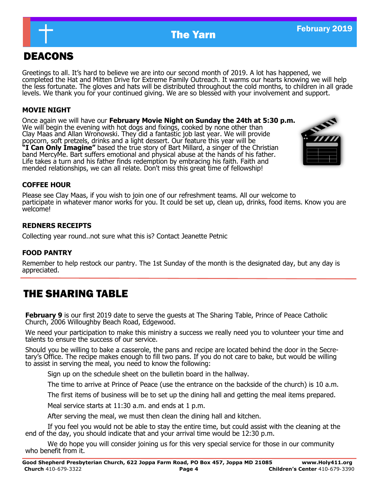

## DEACONS

Greetings to all. It's hard to believe we are into our second month of 2019. A lot has happened, we completed the Hat and Mitten Drive for Extreme Family Outreach. It warms our hearts knowing we will help the less fortunate. The gloves and hats will be distributed throughout the cold months, to children in all grade levels. We thank you for your continued giving. We are so blessed with your involvement and support.

## **MOVIE NIGHT**

Once again we will have our **February Movie Night on Sunday the 24th at 5:30 p.m.** We will begin the evening with hot dogs and fixings, cooked by none other than Clay Maas and Allan Wronowski. They did a fantastic job last year. We will provide popcorn, soft pretzels, drinks and a light dessert. Our feature this year will be **"I Can Only Imagine"** based the true story of Bart Millard, a singer of the Christian band MercyMe. Bart suffers emotional and physical abuse at the hands of his father. Life takes a turn and his father finds redemption by embracing his faith. Faith and mended relationships, we can all relate. Don't miss this great time of fellowship!



## **COFFEE HOUR**

Please see Clay Maas, if you wish to join one of our refreshment teams. All our welcome to participate in whatever manor works for you. It could be set up, clean up, drinks, food items. Know you are welcome!

### **REDNERS RECEIPTS**

Collecting year round..not sure what this is? Contact Jeanette Petnic

## **FOOD PANTRY**

Remember to help restock our pantry. The 1st Sunday of the month is the designated day, but any day is appreciated.

## THE SHARING TABLE

**February 9** is our first 2019 date to serve the guests at The Sharing Table, Prince of Peace Catholic Church, 2006 Willoughby Beach Road, Edgewood.

We need your participation to make this ministry a success we really need you to volunteer your time and talents to ensure the success of our service.

Should you be willing to bake a casserole, the pans and recipe are located behind the door in the Secretary's Office. The recipe makes enough to fill two pans. If you do not care to bake, but would be willing to assist in serving the meal, you need to know the following:

Sign up on the schedule sheet on the bulletin board in the hallway.

The time to arrive at Prince of Peace (use the entrance on the backside of the church) is 10 a.m.

The first items of business will be to set up the dining hall and getting the meal items prepared.

Meal service starts at 11:30 a.m. and ends at 1 p.m.

After serving the meal, we must then clean the dining hall and kitchen.

If you feel you would not be able to stay the entire time, but could assist with the cleaning at the end of the day, you should indicate that and your arrival time would be 12:30 p.m.

We do hope you will consider joining us for this very special service for those in our community who benefit from it.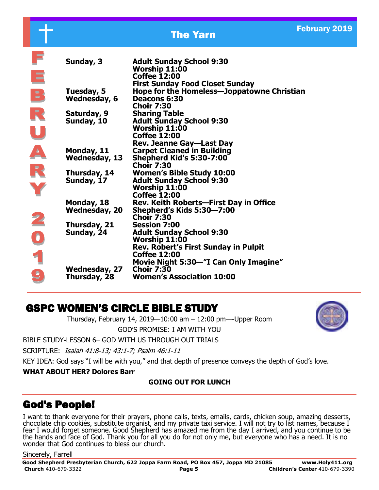# **The Yarn February 2019**

| Sunday, 3            | <b>Adult Sunday School 9:30</b><br>Worship 11:00<br><b>Coffee 12:00</b>                     |
|----------------------|---------------------------------------------------------------------------------------------|
| Tuesday, 5           | <b>First Sunday Food Closet Sunday</b><br><b>Hope for the Homeless-Joppatowne Christian</b> |
| Wednesday, 6         | Deacons 6:30<br><b>Choir 7:30</b>                                                           |
| Saturday, 9          | <b>Sharing Table</b>                                                                        |
| Sunday, 10           | <b>Adult Sunday School 9:30</b>                                                             |
|                      | Worship 11:00                                                                               |
|                      | <b>Coffee 12:00</b>                                                                         |
|                      | <b>Rev. Jeanne Gay-Last Day</b>                                                             |
| Monday, 11           | <b>Carpet Cleaned in Building</b>                                                           |
| <b>Wednesday, 13</b> | <b>Shepherd Kid's 5:30-7:00</b>                                                             |
|                      | <b>Choir 7:30</b>                                                                           |
| Thursday, 14         | <b>Women's Bible Study 10:00</b>                                                            |
| Sunday, 17           | <b>Adult Sunday School 9:30</b>                                                             |
|                      | Worship 11:00                                                                               |
|                      | <b>Coffee 12:00</b>                                                                         |
| Monday, 18           | Rev. Keith Roberts-First Day in Office                                                      |
| <b>Wednesday, 20</b> | Shepherd's Kids 5:30–7:00                                                                   |
|                      | <b>Choir 7:30</b>                                                                           |
| Thursday, 21         | <b>Session 7:00</b>                                                                         |
| Sunday, 24           | <b>Adult Sunday School 9:30</b><br>Worship 11:00                                            |
|                      | <b>Rev. Robert's First Sunday in Pulpit</b>                                                 |
|                      | <b>Coffee 12:00</b>                                                                         |
|                      | Movie Night 5:30—"I Can Only Imagine"                                                       |
| Wednesday, 27        | <b>Choir 7:30</b>                                                                           |
| Thursday, 28         | <b>Women's Association 10:00</b>                                                            |
|                      |                                                                                             |

## GSPC WOMEN'S CIRCLE BIBLE STUDY

Thursday, February 14, 2019—10:00 am – 12:00 pm—-Upper Room

GOD'S PROMISE: I AM WITH YOU BIBLE STUDY-LESSON 6– GOD WITH US THROUGH OUT TRIALS

SCRIPTURE: Isaiah 41:8-13; 43:1-7; Psalm 46:1-11

KEY IDEA: God says "I will be with you," and that depth of presence conveys the depth of God's love.

### **WHAT ABOUT HER? Dolores Barr**

## **GOING OUT FOR LUNCH**

## God's People!

I want to thank everyone for their prayers, phone calls, texts, emails, cards, chicken soup, amazing desserts, chocolate chip cookies, substitute organist, and my private taxi service. I will not try to list names, because I fear I would forget someone. Good Shepherd has amazed me from the day I arrived, and you continue to be the hands and face of God. Thank you for all you do for not only me, but everyone who has a need. It is no wonder that God continues to bless our church.

### Sincerely, Farrell

 $\overline{\phantom{a}}$ 

 $\overline{R}$ 

**Good Shepherd Presbyterian Church, 622 Joppa Farm Road, PO Box 457, Joppa MD 21085 www.Holy411.org Church** 410-679-3322 **Page 5 Children's Center** 410-679-3390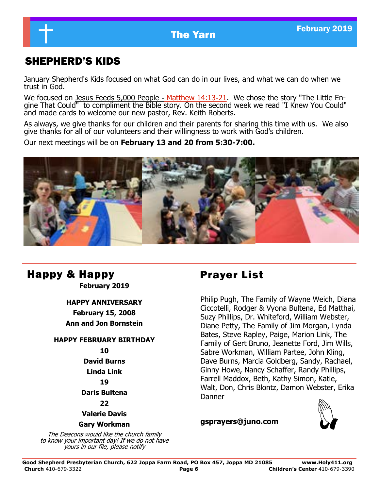## SHEPHERD'S KIDS

January Shepherd's Kids focused on what God can do in our lives, and what we can do when we trust in God.

We focused on [Jesus Feeds 5,000 People](https://r.search.yahoo.com/_ylt=AwrC3CIGQU9cWCEA0NsPxQt.;_ylu=X3oDMTBybGY3bmpvBGNvbG8DYmYxBHBvcwMyBHZ0aWQDBHNlYwNzcg--/RV=2/RE=1548726662/RO=10/RU=https%3a%2f%2fbible.org%2fseriespage%2f4-jesus-feeds-5000-people-matthew-1413-21-mark-630-44-luke-910-17-john-61) - [Matthew 14:13](https://r.search.yahoo.com/_ylt=AwrC3CIGQU9cWCEA0NsPxQt.;_ylu=X3oDMTBybGY3bmpvBGNvbG8DYmYxBHBvcwMyBHZ0aWQDBHNlYwNzcg--/RV=2/RE=1548726662/RO=10/RU=https%3a%2f%2fbible.org%2fseriespage%2f4-jesus-feeds-5000-people-matthew-1413-21-mark-630-44-luke-910-17-john-61)-21. We chose the story "The Little Engine That Could" to compliment the Bible story. On the second week we read "I Knew You Could" and made cards to welcome our new pastor, Rev. Keith Roberts.

As always, we give thanks for our children and their parents for sharing this time with us. We also give thanks for all of our volunteers and their willingness to work with God's children.

Our next meetings will be on **February 13 and 20 from 5:30-7:00.**



## Happy & Happy **Prayer List**

**February 2019**

### **HAPPY ANNIVERSARY**

**February 15, 2008 Ann and Jon Bornstein**

## **HAPPY FEBRUARY BIRTHDAY**

### **10**

**David Burns**

**Linda Link**

## **19**

**Daris Bultena**

### **22**

**Valerie Davis**

### **Gary Workman**

The Deacons would like the church family to know your important day! If we do not have yours in our file, please notify

Philip Pugh, The Family of Wayne Weich, Diana Ciccotelli, Rodger & Vyona Bultena, Ed Matthai, Suzy Phillips, Dr. Whiteford, William Webster, Diane Petty, The Family of Jim Morgan, Lynda Bates, Steve Rapley, Paige, Marion Link, The Family of Gert Bruno, Jeanette Ford, Jim Wills, Sabre Workman, William Partee, John Kling, Dave Burns, Marcia Goldberg, Sandy, Rachael, Ginny Howe, Nancy Schaffer, Randy Phillips, Farrell Maddox, Beth, Kathy Simon, Katie, Walt, Don, Chris Blontz, Damon Webster, Erika Danner

### **gsprayers@juno.com**